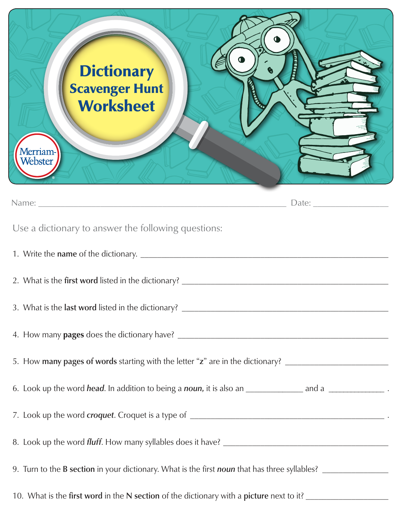